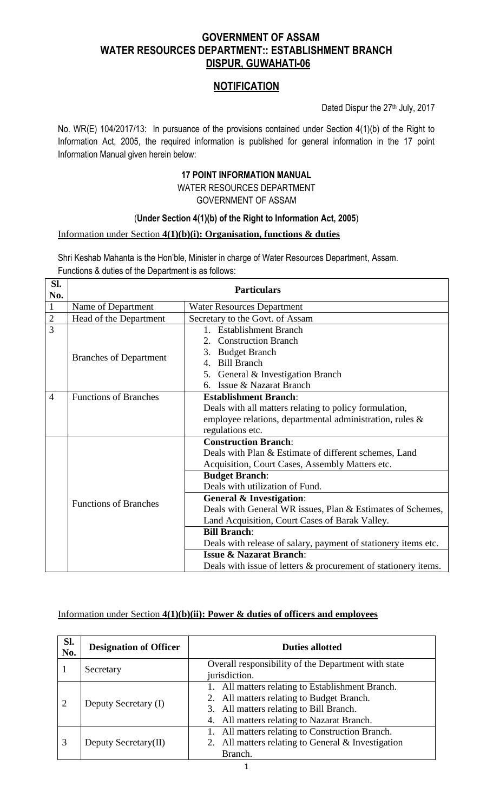# **GOVERNMENT OF ASSAM WATER RESOURCES DEPARTMENT:: ESTABLISHMENT BRANCH DISPUR, GUWAHATI-06**

# **NOTIFICATION**

Dated Dispur the 27th July, 2017

No. WR(E) 104/2017/13: In pursuance of the provisions contained under Section 4(1)(b) of the Right to Information Act, 2005, the required information is published for general information in the 17 point Information Manual given herein below:

## **17 POINT INFORMATION MANUAL**

### WATER RESOURCES DEPARTMENT GOVERNMENT OF ASSAM

## (**Under Section 4(1)(b) of the Right to Information Act, 2005**)

## Information under Section **4(1)(b)(i): Organisation, functions & duties**

Shri Keshab Mahanta is the Hon'ble, Minister in charge of Water Resources Department, Assam. Functions & duties of the Department is as follows:

| SI.<br>No.     | <b>Particulars</b>            |                                                                |  |  |
|----------------|-------------------------------|----------------------------------------------------------------|--|--|
| $\mathbf{1}$   | Name of Department            | <b>Water Resources Department</b>                              |  |  |
| $\overline{c}$ | Head of the Department        | Secretary to the Govt. of Assam                                |  |  |
| $\overline{3}$ |                               | 1. Establishment Branch                                        |  |  |
|                |                               | 2. Construction Branch                                         |  |  |
|                | <b>Branches of Department</b> | <b>Budget Branch</b><br>3.                                     |  |  |
|                |                               | <b>Bill Branch</b><br>$\mathbf{4}$ .                           |  |  |
|                |                               | 5. General & Investigation Branch                              |  |  |
|                |                               | Issue & Nazarat Branch<br>6.                                   |  |  |
| $\overline{4}$ | <b>Functions of Branches</b>  | <b>Establishment Branch:</b>                                   |  |  |
|                |                               | Deals with all matters relating to policy formulation,         |  |  |
|                |                               | employee relations, departmental administration, rules &       |  |  |
|                |                               | regulations etc.                                               |  |  |
|                |                               | <b>Construction Branch:</b>                                    |  |  |
|                |                               | Deals with Plan & Estimate of different schemes, Land          |  |  |
|                |                               | Acquisition, Court Cases, Assembly Matters etc.                |  |  |
|                |                               | <b>Budget Branch:</b>                                          |  |  |
|                |                               | Deals with utilization of Fund.                                |  |  |
|                | <b>Functions of Branches</b>  | <b>General &amp; Investigation:</b>                            |  |  |
|                |                               | Deals with General WR issues, Plan & Estimates of Schemes,     |  |  |
|                |                               | Land Acquisition, Court Cases of Barak Valley.                 |  |  |
|                |                               | <b>Bill Branch:</b>                                            |  |  |
|                |                               | Deals with release of salary, payment of stationery items etc. |  |  |
|                |                               | <b>Issue &amp; Nazarat Branch:</b>                             |  |  |
|                |                               | Deals with issue of letters & procurement of stationery items. |  |  |

## Information under Section **4(1)(b)(ii): Power & duties of officers and employees**

| SI.<br>No. | <b>Designation of Officer</b> | <b>Duties allotted</b>                              |
|------------|-------------------------------|-----------------------------------------------------|
|            | Secretary                     | Overall responsibility of the Department with state |
|            |                               | jurisdiction.                                       |
| 2          | Deputy Secretary (I)          | 1. All matters relating to Establishment Branch.    |
|            |                               | 2. All matters relating to Budget Branch.           |
|            |                               | 3. All matters relating to Bill Branch.             |
|            |                               | 4. All matters relating to Nazarat Branch.          |
| 3          | Deputy Secretary(II)          | 1. All matters relating to Construction Branch.     |
|            |                               | 2. All matters relating to General & Investigation  |
|            |                               | Branch.                                             |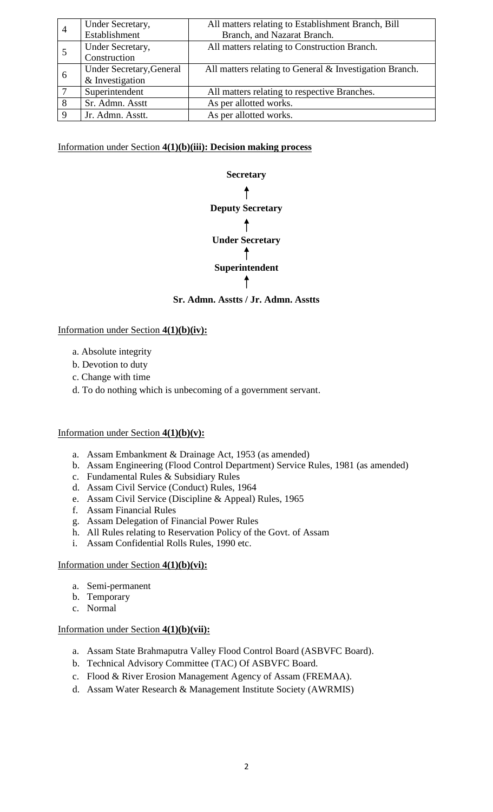| $\overline{4}$ | Under Secretary,                | All matters relating to Establishment Branch, Bill      |
|----------------|---------------------------------|---------------------------------------------------------|
|                | Establishment                   | Branch, and Nazarat Branch.                             |
|                | Under Secretary,                | All matters relating to Construction Branch.            |
|                | Construction                    |                                                         |
| 6              | <b>Under Secretary, General</b> | All matters relating to General & Investigation Branch. |
|                | & Investigation                 |                                                         |
|                | Superintendent                  | All matters relating to respective Branches.            |
|                | Sr. Admn. Asstt                 | As per allotted works.                                  |
|                | Jr. Admn. Asstt.                | As per allotted works.                                  |

Information under Section **4(1)(b)(iii): Decision making process**



Information under Section **4(1)(b)(iv):**

- a. Absolute integrity
- b. Devotion to duty
- c. Change with time
- d. To do nothing which is unbecoming of a government servant.

#### Information under Section **4(1)(b)(v):**

- a. Assam Embankment & Drainage Act, 1953 (as amended)
- b. Assam Engineering (Flood Control Department) Service Rules, 1981 (as amended)
- c. Fundamental Rules & Subsidiary Rules
- d. Assam Civil Service (Conduct) Rules, 1964
- e. Assam Civil Service (Discipline & Appeal) Rules, 1965
- f. Assam Financial Rules
- g. Assam Delegation of Financial Power Rules
- h. All Rules relating to Reservation Policy of the Govt. of Assam
- i. Assam Confidential Rolls Rules, 1990 etc.

#### Information under Section **4(1)(b)(vi):**

- a. Semi-permanent
- b. Temporary
- c. Normal

#### Information under Section **4(1)(b)(vii):**

- a. Assam State Brahmaputra Valley Flood Control Board (ASBVFC Board).
- b. Technical Advisory Committee (TAC) Of ASBVFC Board.
- c. Flood & River Erosion Management Agency of Assam (FREMAA).
- d. Assam Water Research & Management Institute Society (AWRMIS)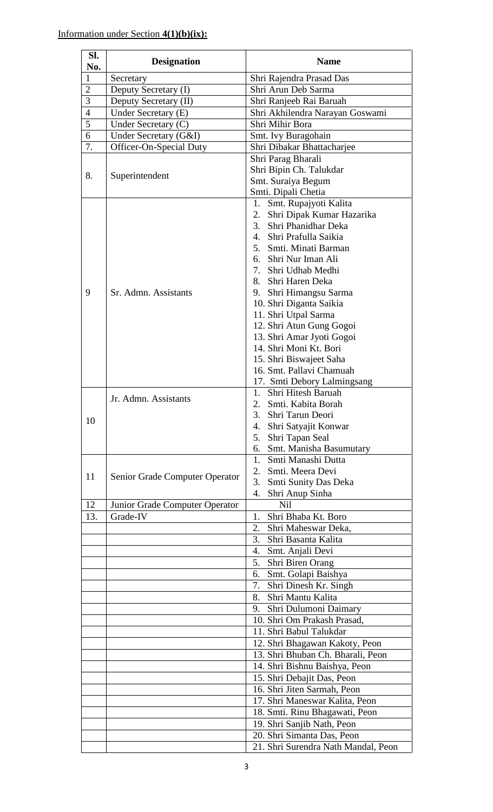| SI.            | <b>Designation</b>             | <b>Name</b>                                         |
|----------------|--------------------------------|-----------------------------------------------------|
| No.            |                                |                                                     |
| $\mathbf{1}$   | Secretary                      | Shri Rajendra Prasad Das                            |
| $\overline{2}$ | Deputy Secretary (I)           | Shri Arun Deb Sarma                                 |
| 3              | Deputy Secretary (II)          | Shri Ranjeeb Rai Baruah                             |
| $\overline{4}$ | Under Secretary (E)            | Shri Akhilendra Narayan Goswami                     |
| $\overline{5}$ | Under Secretary (C)            | Shri Mihir Bora                                     |
| 6              | Under Secretary (G&I)          | Smt. Ivy Buragohain                                 |
| 7.             | Officer-On-Special Duty        | Shri Dibakar Bhattacharjee                          |
|                |                                | Shri Parag Bharali                                  |
| 8.             | Superintendent                 | Shri Bipin Ch. Talukdar                             |
|                |                                | Smt. Suraiya Begum                                  |
|                |                                | Smti. Dipali Chetia<br>1. Smt. Rupajyoti Kalita     |
|                |                                | Shri Dipak Kumar Hazarika<br>2.                     |
|                |                                | $\mathfrak{Z}$ .<br>Shri Phanidhar Deka             |
|                |                                | 4. Shri Prafulla Saikia                             |
|                |                                | 5. Smti. Minati Barman                              |
|                |                                | 6. Shri Nur Iman Ali                                |
|                |                                | 7. Shri Udhab Medhi                                 |
|                |                                | 8. Shri Haren Deka                                  |
| 9              | Sr. Admn. Assistants           | Shri Himangsu Sarma<br>9.                           |
|                |                                | 10. Shri Diganta Saikia                             |
|                |                                | 11. Shri Utpal Sarma                                |
|                |                                | 12. Shri Atun Gung Gogoi                            |
|                |                                | 13. Shri Amar Jyoti Gogoi                           |
|                |                                | 14. Shri Moni Kt. Bori                              |
|                |                                | 15. Shri Biswajeet Saha                             |
|                |                                | 16. Smt. Pallavi Chamuah                            |
|                |                                | 17. Smti Debory Lalmingsang                         |
|                | Jr. Admn. Assistants           | Shri Hitesh Baruah<br>1.                            |
|                |                                | 2. Smti. Kabita Borah<br>Shri Tarun Deori<br>3.     |
| 10             |                                | Shri Satyajit Konwar<br>4.                          |
|                |                                | Shri Tapan Seal<br>5.                               |
|                |                                | 6. Smt. Manisha Basumutary                          |
|                |                                | Smti Manashi Dutta<br>$1_{-}$                       |
|                |                                | Smti. Meera Devi<br>2.                              |
| 11             | Senior Grade Computer Operator | 3.<br>Smti Sunity Das Deka                          |
|                |                                | Shri Anup Sinha<br>4.                               |
| 12             | Junior Grade Computer Operator | <b>Nil</b>                                          |
| 13.            | Grade-IV                       | Shri Bhaba Kt. Boro<br>1.                           |
|                |                                | Shri Maheswar Deka,<br>2.                           |
|                |                                | Shri Basanta Kalita<br>3.                           |
|                |                                | 4.<br>Smt. Anjali Devi                              |
|                |                                | Shri Biren Orang<br>5.<br>Smt. Golapi Baishya<br>6. |
|                |                                | Shri Dinesh Kr. Singh<br>7.                         |
|                |                                | Shri Mantu Kalita<br>8.                             |
|                |                                | Shri Dulumoni Daimary<br>9.                         |
|                |                                | 10. Shri Om Prakash Prasad,                         |
|                |                                | 11. Shri Babul Talukdar                             |
|                |                                | 12. Shri Bhagawan Kakoty, Peon                      |
|                |                                | 13. Shri Bhuban Ch. Bharali, Peon                   |
|                |                                | 14. Shri Bishnu Baishya, Peon                       |
|                |                                | 15. Shri Debajit Das, Peon                          |
|                |                                | 16. Shri Jiten Sarmah, Peon                         |
|                |                                | 17. Shri Maneswar Kalita, Peon                      |
|                |                                | 18. Smti. Rinu Bhagawati, Peon                      |
|                |                                | 19. Shri Sanjib Nath, Peon                          |
|                |                                | 20. Shri Simanta Das, Peon                          |
|                |                                | 21. Shri Surendra Nath Mandal, Peon                 |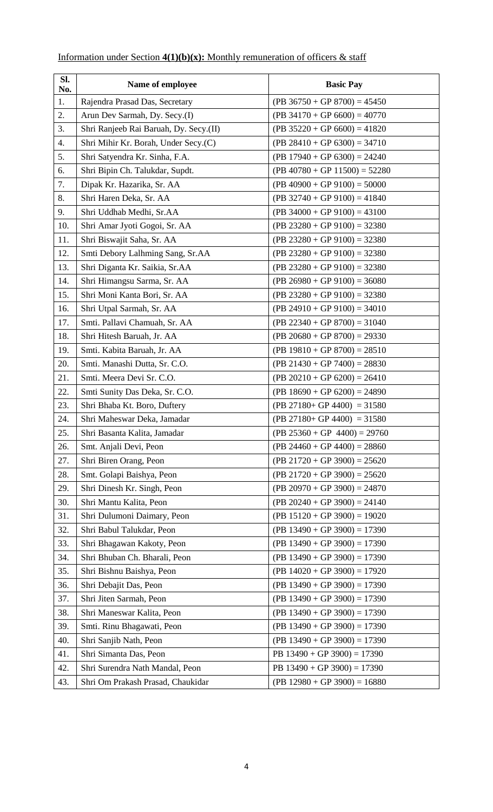| SI.<br>No. | Name of employee                       | <b>Basic Pay</b>                |  |  |
|------------|----------------------------------------|---------------------------------|--|--|
| 1.         | Rajendra Prasad Das, Secretary         | $(PB 36750 + GP 8700) = 45450$  |  |  |
| 2.         | Arun Dev Sarmah, Dy. Secy.(I)          | $(PB 34170 + GP 6600) = 40770$  |  |  |
| 3.         | Shri Ranjeeb Rai Baruah, Dy. Secy.(II) | $(PB 35220 + GP 6600) = 41820$  |  |  |
| 4.         | Shri Mihir Kr. Borah, Under Secy.(C)   | $(PB 28410 + GP 6300) = 34710$  |  |  |
| 5.         | Shri Satyendra Kr. Sinha, F.A.         | $(PB 17940 + GP 6300) = 24240$  |  |  |
| 6.         | Shri Bipin Ch. Talukdar, Supdt.        | $(PB 40780 + GP 11500) = 52280$ |  |  |
| 7.         | Dipak Kr. Hazarika, Sr. AA             | $(PB 40900 + GP 9100) = 50000$  |  |  |
| 8.         | Shri Haren Deka, Sr. AA                | $(PB 32740 + GP 9100) = 41840$  |  |  |
| 9.         | Shri Uddhab Medhi, Sr.AA               | $(PB 34000 + GP 9100) = 43100$  |  |  |
| 10.        | Shri Amar Jyoti Gogoi, Sr. AA          | $(PB 23280 + GP 9100) = 32380$  |  |  |
| 11.        | Shri Biswajit Saha, Sr. AA             | $(PB 23280 + GP 9100) = 32380$  |  |  |
| 12.        | Smti Debory Lalhming Sang, Sr.AA       | $(PB 23280 + GP 9100) = 32380$  |  |  |
| 13.        | Shri Diganta Kr. Saikia, Sr.AA         | $(PB 23280 + GP 9100) = 32380$  |  |  |
| 14.        | Shri Himangsu Sarma, Sr. AA            | $(PB 26980 + GP 9100) = 36080$  |  |  |
| 15.        | Shri Moni Kanta Bori, Sr. AA           | $(PB 23280 + GP 9100) = 32380$  |  |  |
| 16.        | Shri Utpal Sarmah, Sr. AA              | $(PB 24910 + GP 9100) = 34010$  |  |  |
| 17.        | Smti. Pallavi Chamuah, Sr. AA          | $(PB 22340 + GP 8700) = 31040$  |  |  |
| 18.        | Shri Hitesh Baruah, Jr. AA             | $(PB 20680 + GP 8700) = 29330$  |  |  |
| 19.        | Smti. Kabita Baruah, Jr. AA            | $(PB 19810 + GP 8700) = 28510$  |  |  |
| 20.        | Smti. Manashi Dutta, Sr. C.O.          | $(PB 21430 + GP 7400) = 28830$  |  |  |
| 21.        | Smti. Meera Devi Sr. C.O.              | $(PB 20210 + GP 6200) = 26410$  |  |  |
| 22.        | Smti Sunity Das Deka, Sr. C.O.         | $(PB 18690 + GP 6200) = 24890$  |  |  |
| 23.        | Shri Bhaba Kt. Boro, Duftery           | $(PB 27180 + GP 4400) = 31580$  |  |  |
| 24.        | Shri Maheswar Deka, Jamadar            | $(PB 27180 + GP 4400) = 31580$  |  |  |
| 25.        | Shri Basanta Kalita, Jamadar           | $(PB 25360 + GP 4400) = 29760$  |  |  |
| 26.        | Smt. Anjali Devi, Peon                 | $(PB 24460 + GP 4400) = 28860$  |  |  |
| 27.        | Shri Biren Orang, Peon                 | $(PB 21720 + GP 3900) = 25620$  |  |  |
| 28.        | Smt. Golapi Baishya, Peon              | $(PB 21720 + GP 3900) = 25620$  |  |  |
| 29.        | Shri Dinesh Kr. Singh, Peon            | $(PB 20970 + GP 3900) = 24870$  |  |  |
| 30.        | Shri Mantu Kalita, Peon                | $(PB 20240 + GP 3900) = 24140$  |  |  |
| 31.        | Shri Dulumoni Daimary, Peon            | $(PB 15120 + GP 3900) = 19020$  |  |  |
| 32.        | Shri Babul Talukdar, Peon              | $(PB 13490 + GP 3900) = 17390$  |  |  |
| 33.        | Shri Bhagawan Kakoty, Peon             | $(PB 13490 + GP 3900) = 17390$  |  |  |
| 34.        | Shri Bhuban Ch. Bharali, Peon          | $(PB 13490 + GP 3900) = 17390$  |  |  |
| 35.        | Shri Bishnu Baishya, Peon              | $(PB 14020 + GP 3900) = 17920$  |  |  |
| 36.        | Shri Debajit Das, Peon                 | $(PB 13490 + GP 3900) = 17390$  |  |  |
| 37.        | Shri Jiten Sarmah, Peon                | $(PB 13490 + GP 3900) = 17390$  |  |  |
| 38.        | Shri Maneswar Kalita, Peon             | $(PB 13490 + GP 3900) = 17390$  |  |  |
| 39.        | Smti. Rinu Bhagawati, Peon             | $(PB 13490 + GP 3900) = 17390$  |  |  |
| 40.        | Shri Sanjib Nath, Peon                 | $(PB 13490 + GP 3900) = 17390$  |  |  |
| 41.        | Shri Simanta Das, Peon                 | PB $13490 + GP$ 3900) = 17390   |  |  |
| 42.        | Shri Surendra Nath Mandal, Peon        | PB $13490 + GP$ 3900) = 17390   |  |  |
| 43.        | Shri Om Prakash Prasad, Chaukidar      | $(PB 12980 + GP 3900) = 16880$  |  |  |

# Information under Section **4(1)(b)(x):** Monthly remuneration of officers & staff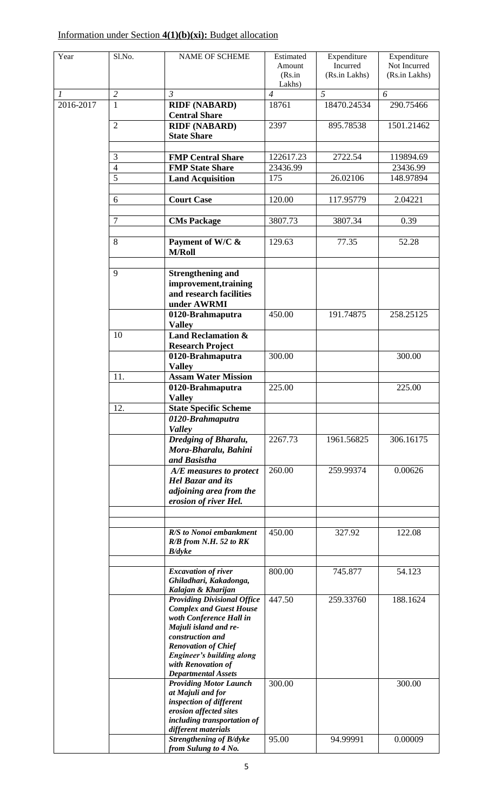# Information under Section **4(1)(b)(xi):** Budget allocation

| Year          | Sl.No.                           | <b>NAME OF SCHEME</b>                                                                                   | Estimated<br>Amount<br>(Rs.in | Expenditure<br>Incurred<br>(Rs.in Lakhs) | Expenditure<br>Not Incurred<br>(Rs.in Lakhs) |
|---------------|----------------------------------|---------------------------------------------------------------------------------------------------------|-------------------------------|------------------------------------------|----------------------------------------------|
|               |                                  |                                                                                                         | Lakhs)                        |                                          |                                              |
| $\mathcal{I}$ | $\overline{2}$                   | $\mathfrak{Z}$                                                                                          | $\overline{4}$                | 5                                        | 6                                            |
| 2016-2017     | $\mathbf{1}$                     | <b>RIDF (NABARD)</b><br><b>Central Share</b>                                                            | 18761                         | 18470.24534                              | 290.75466                                    |
|               | $\overline{2}$                   | <b>RIDF (NABARD)</b><br><b>State Share</b>                                                              | 2397                          | 895.78538                                | 1501.21462                                   |
|               |                                  |                                                                                                         |                               |                                          |                                              |
|               | $\overline{3}$<br>$\overline{4}$ | <b>FMP Central Share</b>                                                                                | 122617.23                     | 2722.54                                  | 119894.69                                    |
|               | $\overline{5}$                   | <b>FMP State Share</b>                                                                                  | 23436.99<br>175               | 26.02106                                 | 23436.99<br>148.97894                        |
|               |                                  | <b>Land Acquisition</b>                                                                                 |                               |                                          |                                              |
|               | 6                                | <b>Court Case</b>                                                                                       | 120.00                        | 117.95779                                | 2.04221                                      |
|               | $\overline{7}$                   | <b>CMs Package</b>                                                                                      | 3807.73                       | 3807.34                                  | 0.39                                         |
|               | 8                                | Payment of W/C &<br><b>M/Roll</b>                                                                       | 129.63                        | 77.35                                    | 52.28                                        |
|               |                                  |                                                                                                         |                               |                                          |                                              |
|               | 9                                | <b>Strengthening and</b>                                                                                |                               |                                          |                                              |
|               |                                  | improvement, training<br>and research facilities                                                        |                               |                                          |                                              |
|               |                                  | under AWRMI                                                                                             |                               |                                          |                                              |
|               |                                  | 0120-Brahmaputra<br><b>Valley</b>                                                                       | 450.00                        | 191.74875                                | 258.25125                                    |
|               | 10                               | <b>Land Reclamation &amp;</b>                                                                           |                               |                                          |                                              |
|               |                                  | <b>Research Project</b>                                                                                 |                               |                                          |                                              |
|               |                                  | 0120-Brahmaputra<br><b>Valley</b>                                                                       | 300.00                        |                                          | 300.00                                       |
|               | 11.                              | <b>Assam Water Mission</b>                                                                              |                               |                                          |                                              |
|               |                                  | 0120-Brahmaputra                                                                                        | 225.00                        |                                          | 225.00                                       |
|               |                                  | <b>Valley</b>                                                                                           |                               |                                          |                                              |
|               | 12.                              | <b>State Specific Scheme</b>                                                                            |                               |                                          |                                              |
|               |                                  | 0120-Brahmaputra<br><b>Valley</b>                                                                       |                               |                                          |                                              |
|               |                                  | Dredging of Bharalu,<br>Mora-Bharalu, Bahini<br>and Basistha                                            | 2267.73                       | 1961.56825                               | 306.16175                                    |
|               |                                  | A/E measures to protect<br><b>Hel Bazar and its</b><br>adjoining area from the<br>erosion of river Hel. | 260.00                        | 259.99374                                | 0.00626                                      |
|               |                                  |                                                                                                         |                               |                                          |                                              |
|               |                                  | R/S to Nonoi embankment<br>R/B from N.H. 52 to RK<br>B/dyke                                             | 450.00                        | 327.92                                   | 122.08                                       |
|               |                                  | <b>Excavation of river</b>                                                                              | 800.00                        |                                          | 54.123                                       |
|               |                                  | Ghiladhari, Kakadonga,<br>Kalajan & Kharijan                                                            |                               | 745.877                                  |                                              |
|               |                                  | <b>Providing Divisional Office</b>                                                                      | 447.50                        | 259.33760                                | 188.1624                                     |
|               |                                  | <b>Complex and Guest House</b>                                                                          |                               |                                          |                                              |
|               |                                  | woth Conference Hall in                                                                                 |                               |                                          |                                              |
|               |                                  | Majuli island and re-                                                                                   |                               |                                          |                                              |
|               |                                  | construction and<br><b>Renovation of Chief</b>                                                          |                               |                                          |                                              |
|               |                                  | <b>Engineer's building along</b>                                                                        |                               |                                          |                                              |
|               |                                  | with Renovation of                                                                                      |                               |                                          |                                              |
|               |                                  | <b>Departmental Assets</b>                                                                              |                               |                                          |                                              |
|               |                                  | <b>Providing Motor Launch</b>                                                                           | 300.00                        |                                          | 300.00                                       |
|               |                                  | at Majuli and for<br>inspection of different                                                            |                               |                                          |                                              |
|               |                                  | erosion affected sites                                                                                  |                               |                                          |                                              |
|               |                                  | including transportation of                                                                             |                               |                                          |                                              |
|               |                                  | different materials                                                                                     |                               |                                          |                                              |
|               |                                  | Strengthening of B/dyke                                                                                 | 95.00                         | 94.99991                                 | 0.00009                                      |
|               |                                  | from Sulung to 4 No.                                                                                    |                               |                                          |                                              |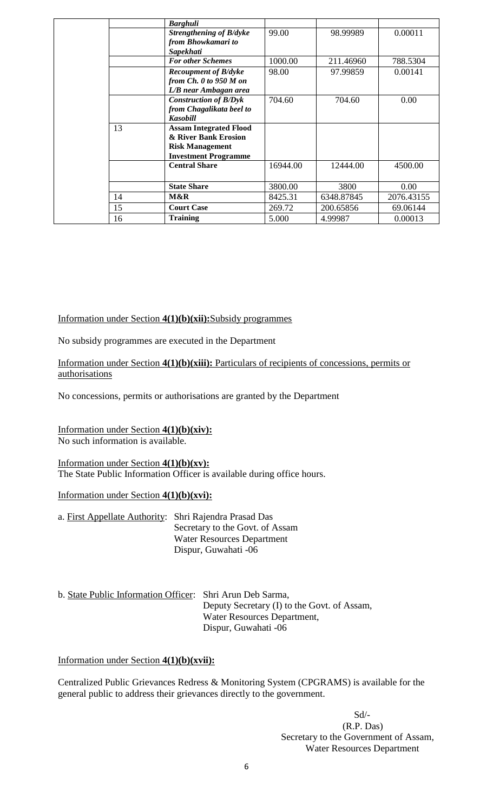|    | <b>Barghuli</b>               |                                                     |            |            |
|----|-------------------------------|-----------------------------------------------------|------------|------------|
|    | Strengthening of B/dyke       | 99.00                                               | 98.99989   | 0.00011    |
|    | from Bhowkamari to            |                                                     |            |            |
|    | Sapekhati                     |                                                     |            |            |
|    | <b>For other Schemes</b>      | 1000.00                                             | 211.46960  | 788.5304   |
|    | <b>Recoupment of B/dyke</b>   | 98.00                                               | 97.99859   | 0.00141    |
|    | from $Ch. 0$ to 950 $M$ on    |                                                     |            |            |
|    | L/B near Ambagan area         |                                                     |            |            |
|    | <b>Construction of B/Dyk</b>  | 704.60                                              | 704.60     | 0.00       |
|    | from Chagalikata beel to      |                                                     |            |            |
|    | <b>Kasobill</b>               |                                                     |            |            |
| 13 | <b>Assam Integrated Flood</b> |                                                     |            |            |
|    |                               |                                                     |            |            |
|    | <b>Risk Management</b>        |                                                     |            |            |
|    |                               |                                                     |            |            |
|    | <b>Central Share</b>          | 16944.00                                            | 12444.00   | 4500.00    |
|    |                               |                                                     |            |            |
|    | <b>State Share</b>            | 3800.00                                             | 3800       | 0.00       |
| 14 | M&R                           | 8425.31                                             | 6348.87845 | 2076.43155 |
| 15 | <b>Court Case</b>             | 269.72                                              | 200.65856  | 69.06144   |
| 16 | <b>Training</b>               | 5.000                                               | 4.99987    | 0.00013    |
|    |                               | & River Bank Erosion<br><b>Investment Programme</b> |            |            |

#### Information under Section **4(1)(b)(xii):**Subsidy programmes

No subsidy programmes are executed in the Department

#### Information under Section **4(1)(b)(xiii):** Particulars of recipients of concessions, permits or authorisations

No concessions, permits or authorisations are granted by the Department

#### Information under Section **4(1)(b)(xiv):** No such information is available.

#### Information under Section **4(1)(b)(xv):** The State Public Information Officer is available during office hours.

#### Information under Section **4(1)(b)(xvi):**

| a. First Appellate Authority: Shri Rajendra Prasad Das |                                   |
|--------------------------------------------------------|-----------------------------------|
|                                                        | Secretary to the Govt. of Assam   |
|                                                        | <b>Water Resources Department</b> |
|                                                        | Dispur, Guwahati -06              |

| b. State Public Information Officer: Shri Arun Deb Sarma, |                                             |
|-----------------------------------------------------------|---------------------------------------------|
|                                                           | Deputy Secretary (I) to the Govt. of Assam, |
|                                                           | Water Resources Department,                 |
|                                                           | Dispur, Guwahati -06                        |

Information under Section **4(1)(b)(xvii):**

Centralized Public Grievances Redress & Monitoring System (CPGRAMS) is available for the general public to address their grievances directly to the government.

> Sd/- (R.P. Das) Secretary to the Government of Assam, Water Resources Department